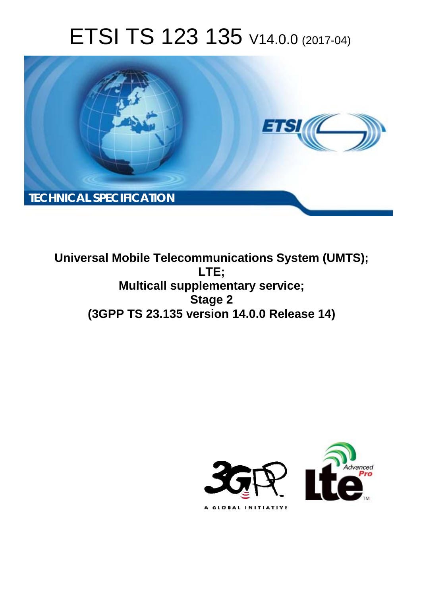# ETSI TS 123 135 V14.0.0 (2017-04)



**Universal Mobile Telecommunications System (UMTS); LTE; Multicall supplementary service; Stage 2 (3GPP TS 23.135 version 14.0.0 Release 14)** 

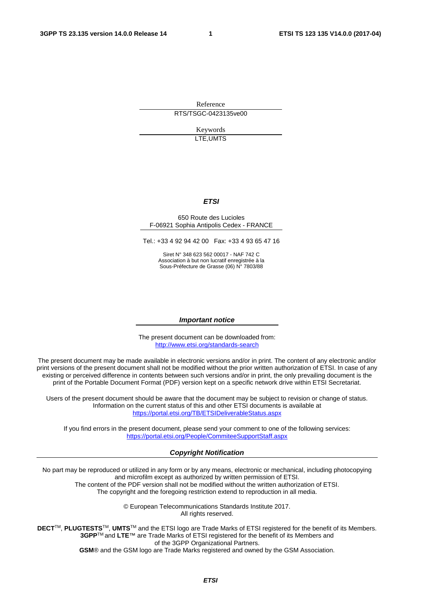Reference RTS/TSGC-0423135ve00

> Keywords LTE,UMTS

#### *ETSI*

#### 650 Route des Lucioles F-06921 Sophia Antipolis Cedex - FRANCE

Tel.: +33 4 92 94 42 00 Fax: +33 4 93 65 47 16

Siret N° 348 623 562 00017 - NAF 742 C Association à but non lucratif enregistrée à la Sous-Préfecture de Grasse (06) N° 7803/88

#### *Important notice*

The present document can be downloaded from: <http://www.etsi.org/standards-search>

The present document may be made available in electronic versions and/or in print. The content of any electronic and/or print versions of the present document shall not be modified without the prior written authorization of ETSI. In case of any existing or perceived difference in contents between such versions and/or in print, the only prevailing document is the print of the Portable Document Format (PDF) version kept on a specific network drive within ETSI Secretariat.

Users of the present document should be aware that the document may be subject to revision or change of status. Information on the current status of this and other ETSI documents is available at <https://portal.etsi.org/TB/ETSIDeliverableStatus.aspx>

If you find errors in the present document, please send your comment to one of the following services: <https://portal.etsi.org/People/CommiteeSupportStaff.aspx>

#### *Copyright Notification*

No part may be reproduced or utilized in any form or by any means, electronic or mechanical, including photocopying and microfilm except as authorized by written permission of ETSI.

The content of the PDF version shall not be modified without the written authorization of ETSI. The copyright and the foregoing restriction extend to reproduction in all media.

> © European Telecommunications Standards Institute 2017. All rights reserved.

**DECT**TM, **PLUGTESTS**TM, **UMTS**TM and the ETSI logo are Trade Marks of ETSI registered for the benefit of its Members. **3GPP**TM and **LTE**™ are Trade Marks of ETSI registered for the benefit of its Members and of the 3GPP Organizational Partners.

**GSM**® and the GSM logo are Trade Marks registered and owned by the GSM Association.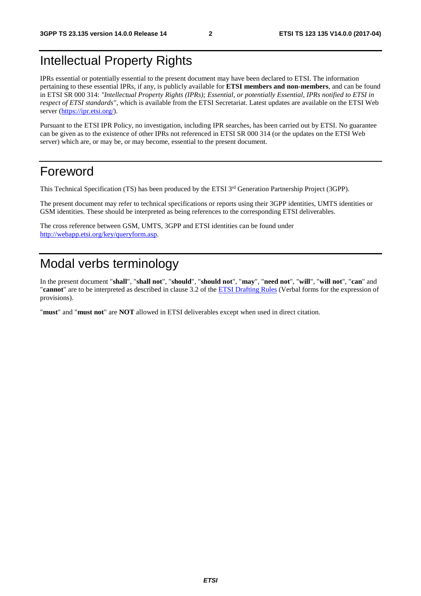## <span id="page-2-0"></span>Intellectual Property Rights

IPRs essential or potentially essential to the present document may have been declared to ETSI. The information pertaining to these essential IPRs, if any, is publicly available for **ETSI members and non-members**, and can be found in ETSI SR 000 314: *"Intellectual Property Rights (IPRs); Essential, or potentially Essential, IPRs notified to ETSI in respect of ETSI standards"*, which is available from the ETSI Secretariat. Latest updates are available on the ETSI Web server ([https://ipr.etsi.org/\)](https://ipr.etsi.org/).

Pursuant to the ETSI IPR Policy, no investigation, including IPR searches, has been carried out by ETSI. No guarantee can be given as to the existence of other IPRs not referenced in ETSI SR 000 314 (or the updates on the ETSI Web server) which are, or may be, or may become, essential to the present document.

## Foreword

This Technical Specification (TS) has been produced by the ETSI 3<sup>rd</sup> Generation Partnership Project (3GPP).

The present document may refer to technical specifications or reports using their 3GPP identities, UMTS identities or GSM identities. These should be interpreted as being references to the corresponding ETSI deliverables.

The cross reference between GSM, UMTS, 3GPP and ETSI identities can be found under [http://webapp.etsi.org/key/queryform.asp.](http://webapp.etsi.org/key/queryform.asp)

## Modal verbs terminology

In the present document "**shall**", "**shall not**", "**should**", "**should not**", "**may**", "**need not**", "**will**", "**will not**", "**can**" and "**cannot**" are to be interpreted as described in clause 3.2 of the [ETSI Drafting Rules](https://portal.etsi.org/Services/editHelp!/Howtostart/ETSIDraftingRules.aspx) (Verbal forms for the expression of provisions).

"**must**" and "**must not**" are **NOT** allowed in ETSI deliverables except when used in direct citation.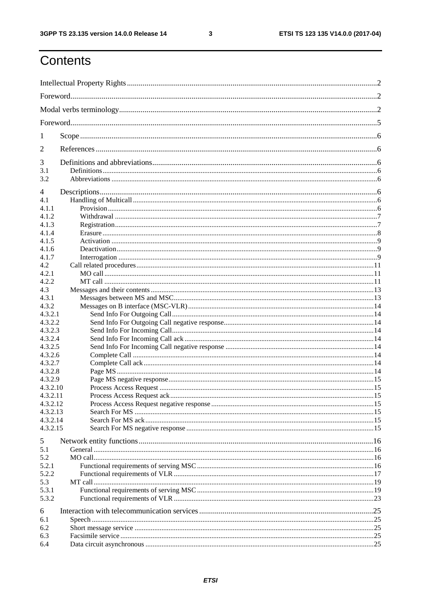$\mathbf{3}$ 

# Contents

| 1          |  |
|------------|--|
| 2          |  |
| 3          |  |
| 3.1<br>3.2 |  |
| 4          |  |
| 4.1        |  |
| 4.1.1      |  |
| 4.1.2      |  |
| 4.1.3      |  |
| 4.1.4      |  |
| 4.1.5      |  |
| 4.1.6      |  |
| 4.1.7      |  |
| 4.2        |  |
| 4.2.1      |  |
| 4.2.2      |  |
| 4.3        |  |
| 4.3.1      |  |
| 4.3.2      |  |
| 4.3.2.1    |  |
| 4.3.2.2    |  |
| 4.3.2.3    |  |
| 4.3.2.4    |  |
| 4.3.2.5    |  |
| 4.3.2.6    |  |
| 4.3.2.7    |  |
| 4.3.2.8    |  |
| 4.3.2.9    |  |
| 4.3.2.10   |  |
| 4.3.2.11   |  |
| 4.3.2.12   |  |
| 4.3.2.13   |  |
| 4.3.2.14   |  |
| 4.3.2.15   |  |
|            |  |
| 5          |  |
| 5.1        |  |
| 5.2        |  |
| 5.2.1      |  |
| 5.2.2      |  |
| 5.3        |  |
| 5.3.1      |  |
| 5.3.2      |  |
|            |  |
| 6          |  |
| 6.1        |  |
| 6.2        |  |
| 6.3        |  |
| 6.4        |  |
|            |  |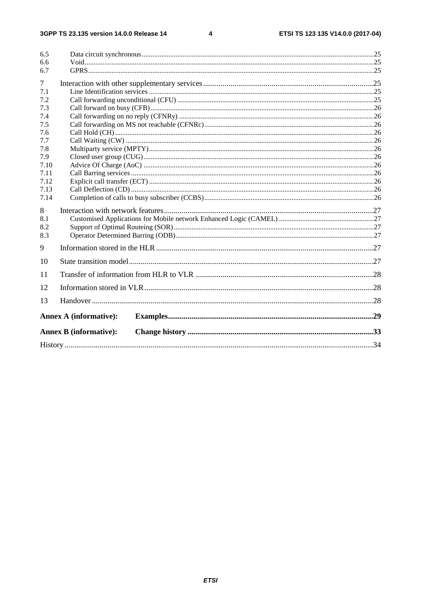#### $\overline{\mathbf{4}}$

| 6.5        |                               |  |
|------------|-------------------------------|--|
| 6.6        |                               |  |
| 6.7        |                               |  |
| $\tau$     |                               |  |
| 7.1        |                               |  |
| 7.2        |                               |  |
| 7.3<br>7.4 |                               |  |
| 7.5        |                               |  |
| 7.6        |                               |  |
| 7.7        |                               |  |
| 7.8        |                               |  |
| 7.9        |                               |  |
| 7.10       |                               |  |
| 7.11       |                               |  |
| 7.12       |                               |  |
| 7.13       |                               |  |
| 7.14       |                               |  |
| 8          |                               |  |
| 8.1        |                               |  |
| 8.2        |                               |  |
| 8.3        |                               |  |
| 9          |                               |  |
| 10         |                               |  |
| 11         |                               |  |
| 12         |                               |  |
| 13         |                               |  |
|            | <b>Annex A (informative):</b> |  |
|            |                               |  |
|            | <b>Annex B</b> (informative): |  |
|            |                               |  |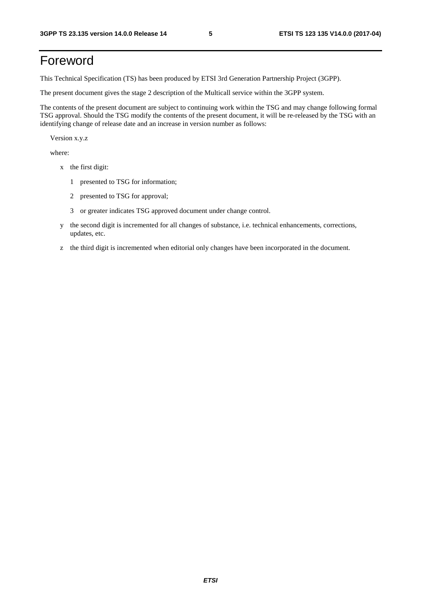## <span id="page-5-0"></span>Foreword

This Technical Specification (TS) has been produced by ETSI 3rd Generation Partnership Project (3GPP).

The present document gives the stage 2 description of the Multicall service within the 3GPP system.

The contents of the present document are subject to continuing work within the TSG and may change following formal TSG approval. Should the TSG modify the contents of the present document, it will be re-released by the TSG with an identifying change of release date and an increase in version number as follows:

Version x.y.z

where:

- x the first digit:
	- 1 presented to TSG for information;
	- 2 presented to TSG for approval;
	- 3 or greater indicates TSG approved document under change control.
- y the second digit is incremented for all changes of substance, i.e. technical enhancements, corrections, updates, etc.
- z the third digit is incremented when editorial only changes have been incorporated in the document.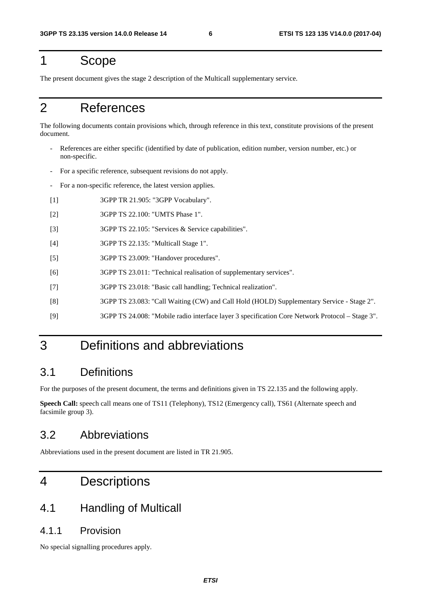## <span id="page-6-0"></span>1 Scope

The present document gives the stage 2 description of the Multicall supplementary service.

## 2 References

The following documents contain provisions which, through reference in this text, constitute provisions of the present document.

- References are either specific (identified by date of publication, edition number, version number, etc.) or non-specific.
- For a specific reference, subsequent revisions do not apply.
- For a non-specific reference, the latest version applies.
- [1] 3GPP TR 21.905: "3GPP Vocabulary".
- [2] 3GPP TS 22.100: "UMTS Phase 1".
- [3] 3GPP TS 22.105: "Services & Service capabilities".
- [4] 3GPP TS 22.135: "Multicall Stage 1".
- [5] 3GPP TS 23.009: "Handover procedures".
- [6] 3GPP TS 23.011: "Technical realisation of supplementary services".
- [7] 3GPP TS 23.018: "Basic call handling; Technical realization".
- [8] 3GPP TS 23.083: "Call Waiting (CW) and Call Hold (HOLD) Supplementary Service Stage 2".
- [9] 3GPP TS 24.008: "Mobile radio interface layer 3 specification Core Network Protocol Stage 3".

## 3 Definitions and abbreviations

### 3.1 Definitions

For the purposes of the present document, the terms and definitions given in TS 22.135 and the following apply.

**Speech Call:** speech call means one of TS11 (Telephony), TS12 (Emergency call), TS61 (Alternate speech and facsimile group 3).

## 3.2 Abbreviations

Abbreviations used in the present document are listed in TR 21.905.

## 4 Descriptions

## 4.1 Handling of Multicall

#### 4.1.1 Provision

No special signalling procedures apply.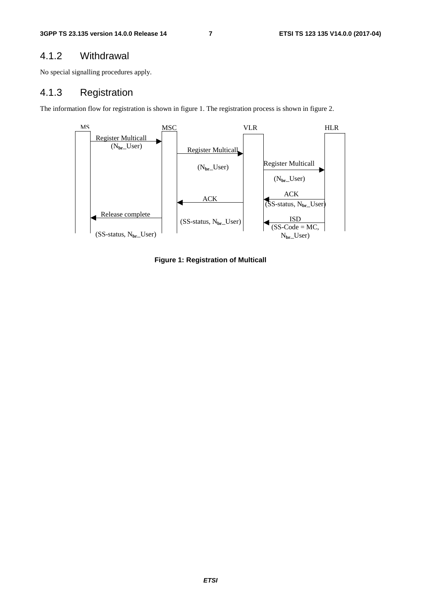#### <span id="page-7-0"></span>4.1.2 Withdrawal

No special signalling procedures apply.

#### 4.1.3 Registration

The information flow for registration is shown in figure 1. The registration process is shown in figure 2.



**Figure 1: Registration of Multicall**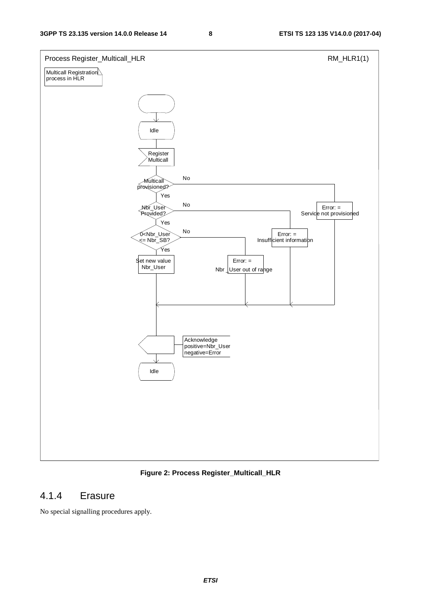<span id="page-8-0"></span>

**Figure 2: Process Register\_Multicall\_HLR** 

#### 4.1.4 Erasure

No special signalling procedures apply.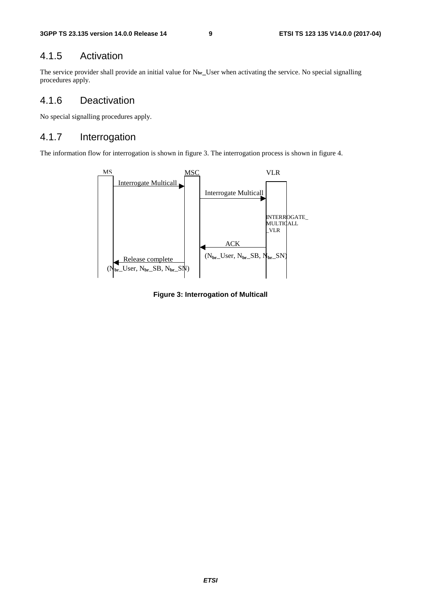#### <span id="page-9-0"></span>4.1.5 Activation

The service provider shall provide an initial value for N**br\_**User when activating the service. No special signalling procedures apply.

#### 4.1.6 Deactivation

No special signalling procedures apply.

#### 4.1.7 Interrogation

The information flow for interrogation is shown in figure 3. The interrogation process is shown in figure 4.



**Figure 3: Interrogation of Multicall**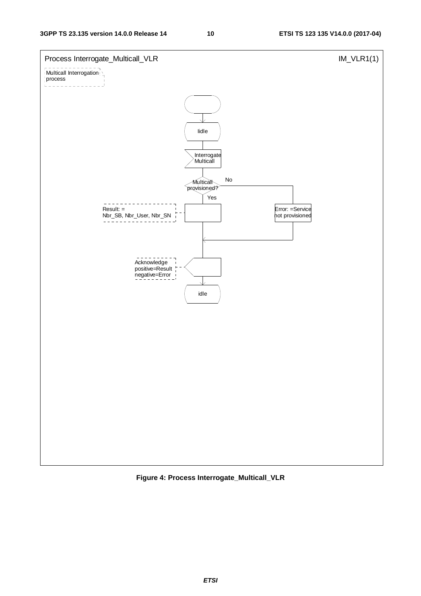

**Figure 4: Process Interrogate\_Multicall\_VLR**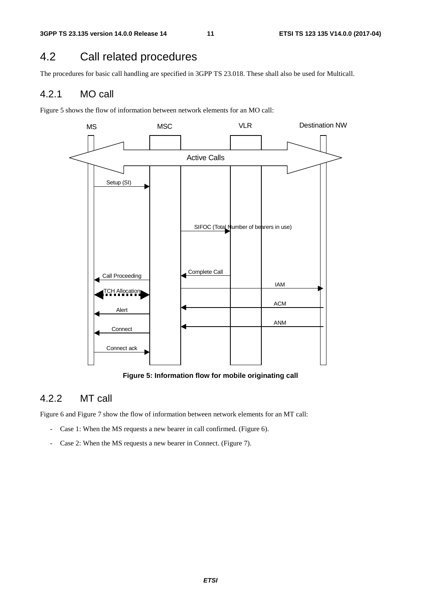## <span id="page-11-0"></span>4.2 Call related procedures

The procedures for basic call handling are specified in 3GPP TS 23.018. These shall also be used for Multicall.

#### 4.2.1 MO call

Figure 5 shows the flow of information between network elements for an MO call:



**Figure 5: Information flow for mobile originating call** 

#### 4.2.2 MT call

Figure 6 and Figure 7 show the flow of information between network elements for an MT call:

- Case 1: When the MS requests a new bearer in call confirmed. (Figure 6).
- Case 2: When the MS requests a new bearer in Connect. (Figure 7).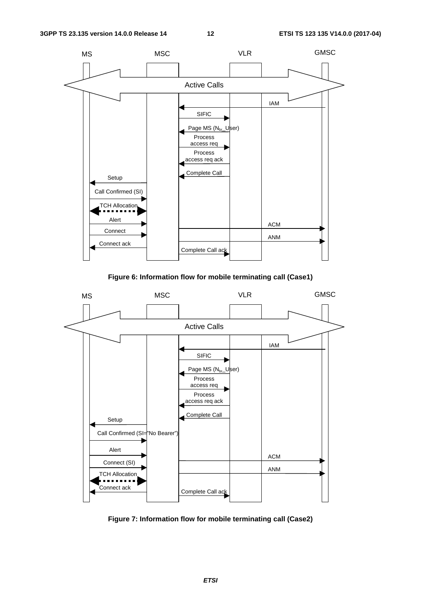

**Figure 6: Information flow for mobile terminating call (Case1)** 



**Figure 7: Information flow for mobile terminating call (Case2)**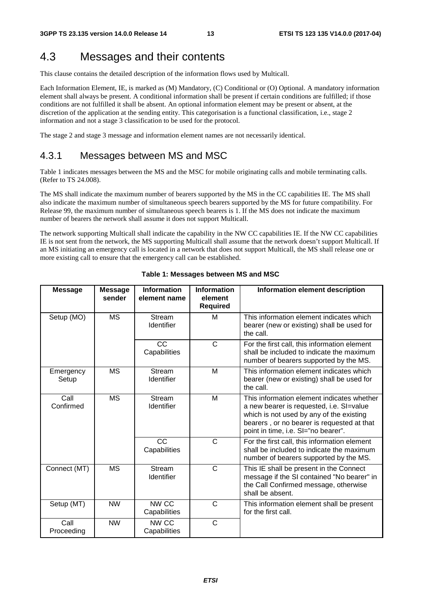## <span id="page-13-0"></span>4.3 Messages and their contents

This clause contains the detailed description of the information flows used by Multicall.

Each Information Element, IE, is marked as (M) Mandatory, (C) Conditional or (O) Optional. A mandatory information element shall always be present. A conditional information shall be present if certain conditions are fulfilled; if those conditions are not fulfilled it shall be absent. An optional information element may be present or absent, at the discretion of the application at the sending entity. This categorisation is a functional classification, i.e., stage 2 information and not a stage 3 classification to be used for the protocol.

The stage 2 and stage 3 message and information element names are not necessarily identical.

#### 4.3.1 Messages between MS and MSC

Table 1 indicates messages between the MS and the MSC for mobile originating calls and mobile terminating calls. (Refer to TS 24.008).

The MS shall indicate the maximum number of bearers supported by the MS in the CC capabilities IE. The MS shall also indicate the maximum number of simultaneous speech bearers supported by the MS for future compatibility. For Release 99, the maximum number of simultaneous speech bearers is 1. If the MS does not indicate the maximum number of bearers the network shall assume it does not support Multicall.

The network supporting Multicall shall indicate the capability in the NW CC capabilities IE. If the NW CC capabilities IE is not sent from the network, the MS supporting Multicall shall assume that the network doesn't support Multicall. If an MS initiating an emergency call is located in a network that does not support Multicall, the MS shall release one or more existing call to ensure that the emergency call can be established.

| <b>Message</b>     | <b>Message</b><br>sender | <b>Information</b><br>element name | <b>Information</b><br>element<br><b>Required</b> | Information element description                                                                                                                                                                                         |
|--------------------|--------------------------|------------------------------------|--------------------------------------------------|-------------------------------------------------------------------------------------------------------------------------------------------------------------------------------------------------------------------------|
| Setup (MO)         | <b>MS</b>                | <b>Stream</b><br>Identifier        | м                                                | This information element indicates which<br>bearer (new or existing) shall be used for<br>the call.                                                                                                                     |
|                    |                          | <b>CC</b><br>Capabilities          | C                                                | For the first call, this information element<br>shall be included to indicate the maximum<br>number of bearers supported by the MS.                                                                                     |
| Emergency<br>Setup | <b>MS</b>                | <b>Stream</b><br><b>Identifier</b> | M                                                | This information element indicates which<br>bearer (new or existing) shall be used for<br>the call.                                                                                                                     |
| Call<br>Confirmed  | <b>MS</b>                | <b>Stream</b><br>Identifier        | М                                                | This information element indicates whether<br>a new bearer is requested, i.e. SI=value<br>which is not used by any of the existing<br>bearers, or no bearer is requested at that<br>point in time, i.e. SI="no bearer". |
|                    |                          | <b>CC</b><br>Capabilities          | C                                                | For the first call, this information element<br>shall be included to indicate the maximum<br>number of bearers supported by the MS.                                                                                     |
| Connect (MT)       | <b>MS</b>                | <b>Stream</b><br>Identifier        | $\mathsf{C}$                                     | This IE shall be present in the Connect<br>message if the SI contained "No bearer" in<br>the Call Confirmed message, otherwise<br>shall be absent.                                                                      |
| Setup (MT)         | <b>NW</b>                | NW CC<br>Capabilities              | C                                                | This information element shall be present<br>for the first call.                                                                                                                                                        |
| Call<br>Proceeding | <b>NW</b>                | NW CC<br>Capabilities              | $\mathsf{C}$                                     |                                                                                                                                                                                                                         |

**Table 1: Messages between MS and MSC**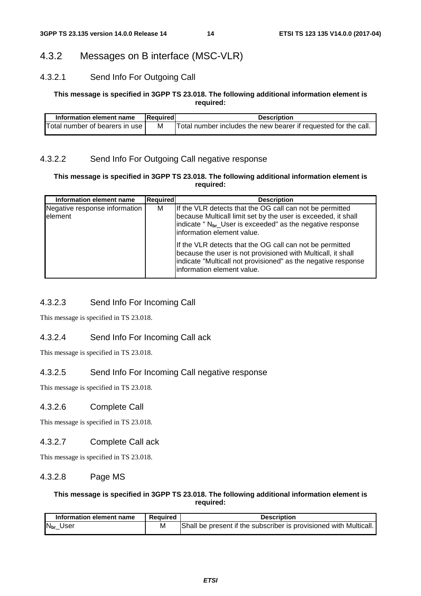#### <span id="page-14-0"></span>4.3.2 Messages on B interface (MSC-VLR)

#### 4.3.2.1 Send Info For Outgoing Call

#### **This message is specified in 3GPP TS 23.018. The following additional information element is required:**

| Information element name       | Required | <b>Description</b>                                              |
|--------------------------------|----------|-----------------------------------------------------------------|
| Total number of bearers in use | M        | Total number includes the new bearer if requested for the call. |

#### 4.3.2.2 Send Info For Outgoing Call negative response

#### **This message is specified in 3GPP TS 23.018. The following additional information element is required:**

| Information element name                  | <b>Required</b> | <b>Description</b>                                                                                                                                                                                                                |
|-------------------------------------------|-----------------|-----------------------------------------------------------------------------------------------------------------------------------------------------------------------------------------------------------------------------------|
| Negative response information<br>lelement | м               | If the VLR detects that the OG call can not be permitted<br>because Multicall limit set by the user is exceeded, it shall<br>indicate " N <sub>br</sub> _User is exceeded" as the negative response<br>information element value. |
|                                           |                 | If the VLR detects that the OG call can not be permitted<br>because the user is not provisioned with Multicall, it shall<br>indicate "Multicall not provisioned" as the negative response<br>information element value.           |

#### 4.3.2.3 Send Info For Incoming Call

This message is specified in TS 23.018.

#### 4.3.2.4 Send Info For Incoming Call ack

This message is specified in TS 23.018.

#### 4.3.2.5 Send Info For Incoming Call negative response

This message is specified in TS 23.018.

#### 4.3.2.6 Complete Call

This message is specified in TS 23.018.

#### 4.3.2.7 Complete Call ack

This message is specified in TS 23.018.

#### 4.3.2.8 Page MS

#### **This message is specified in 3GPP TS 23.018. The following additional information element is required:**

| Information element name | Reauired | <b>Description</b>                                                |
|--------------------------|----------|-------------------------------------------------------------------|
| N <sub>br</sub> _User    |          | Shall be present if the subscriber is provisioned with Multicall. |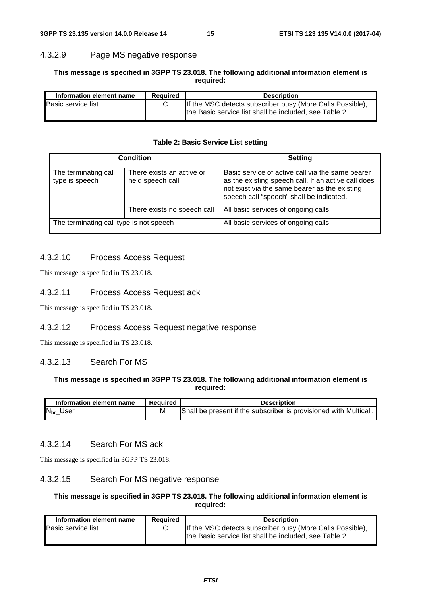#### <span id="page-15-0"></span>4.3.2.9 Page MS negative response

#### **This message is specified in 3GPP TS 23.018. The following additional information element is required:**

| <b>Required</b><br>Information element name |  | <b>Description</b>                                                                                                  |  |  |
|---------------------------------------------|--|---------------------------------------------------------------------------------------------------------------------|--|--|
| <b>Basic service list</b>                   |  | If the MSC detects subscriber busy (More Calls Possible),<br>the Basic service list shall be included, see Table 2. |  |  |

#### **Table 2: Basic Service List setting**

|                                         | <b>Condition</b>                              | <b>Setting</b>                                                                                                                                                                                       |  |
|-----------------------------------------|-----------------------------------------------|------------------------------------------------------------------------------------------------------------------------------------------------------------------------------------------------------|--|
| The terminating call<br>type is speech  | There exists an active or<br>held speech call | Basic service of active call via the same bearer<br>as the existing speech call. If an active call does<br>not exist via the same bearer as the existing<br>speech call "speech" shall be indicated. |  |
|                                         | There exists no speech call                   | All basic services of ongoing calls                                                                                                                                                                  |  |
| The terminating call type is not speech |                                               | All basic services of ongoing calls                                                                                                                                                                  |  |

#### 4.3.2.10 Process Access Request

This message is specified in TS 23.018.

#### 4.3.2.11 Process Access Request ack

This message is specified in TS 23.018.

#### 4.3.2.12 Process Access Request negative response

This message is specified in TS 23.018.

#### 4.3.2.13 Search For MS

#### **This message is specified in 3GPP TS 23.018. The following additional information element is required:**

| Information element name | Reauired | <b>Description</b>                                                |
|--------------------------|----------|-------------------------------------------------------------------|
| $N_{\rm br}\_$ User      | M        | Shall be present if the subscriber is provisioned with Multicall. |

#### 4.3.2.14 Search For MS ack

This message is specified in 3GPP TS 23.018.

#### 4.3.2.15 Search For MS negative response

#### **This message is specified in 3GPP TS 23.018. The following additional information element is required:**

| Information element name<br><b>Required</b> |  | <b>Description</b>                                                                                                  |  |  |
|---------------------------------------------|--|---------------------------------------------------------------------------------------------------------------------|--|--|
| <b>Basic service list</b>                   |  | If the MSC detects subscriber busy (More Calls Possible),<br>the Basic service list shall be included, see Table 2. |  |  |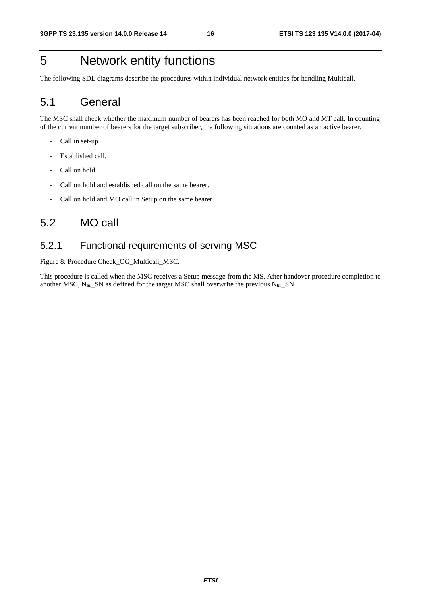## <span id="page-16-0"></span>5 Network entity functions

The following SDL diagrams describe the procedures within individual network entities for handling Multicall.

## 5.1 General

The MSC shall check whether the maximum number of bearers has been reached for both MO and MT call. In counting of the current number of bearers for the target subscriber, the following situations are counted as an active bearer.

- Call in set-up.
- Established call.
- Call on hold.
- Call on hold and established call on the same bearer.
- Call on hold and MO call in Setup on the same bearer.

## 5.2 MO call

#### 5.2.1 Functional requirements of serving MSC

Figure 8: Procedure Check\_OG\_Multicall\_MSC.

This procedure is called when the MSC receives a Setup message from the MS. After handover procedure completion to another MSC, N**br**\_SN as defined for the target MSC shall overwrite the previous N**br**\_SN.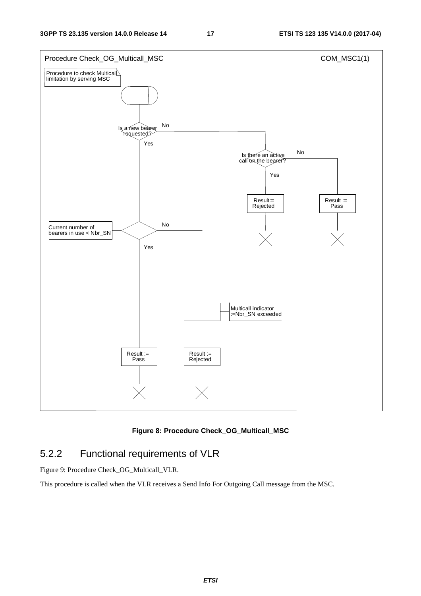<span id="page-17-0"></span>

**Figure 8: Procedure Check\_OG\_Multicall\_MSC** 

## 5.2.2 Functional requirements of VLR

Figure 9: Procedure Check\_OG\_Multicall\_VLR.

This procedure is called when the VLR receives a Send Info For Outgoing Call message from the MSC.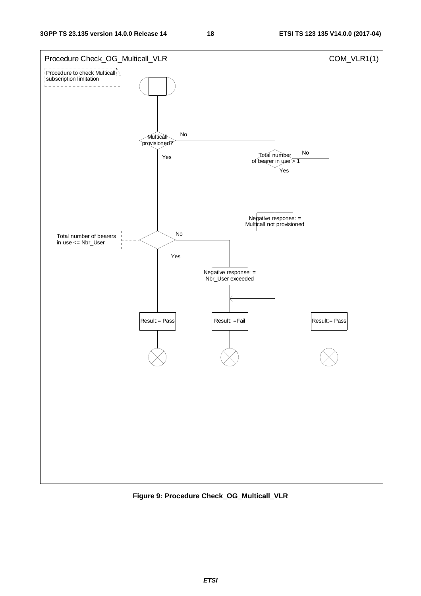

**Figure 9: Procedure Check\_OG\_Multicall\_VLR**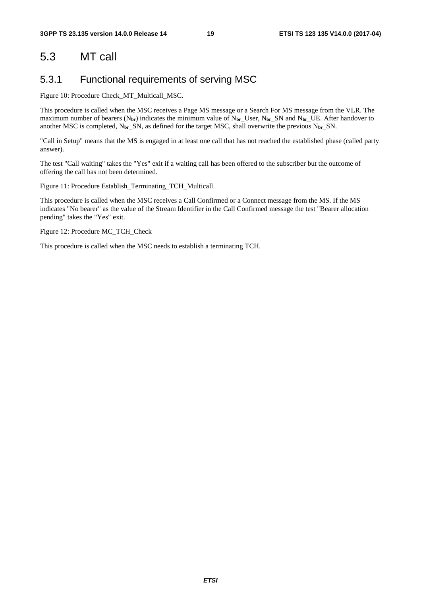## <span id="page-19-0"></span>5.3 MT call

#### 5.3.1 Functional requirements of serving MSC

Figure 10: Procedure Check\_MT\_Multicall\_MSC.

This procedure is called when the MSC receives a Page MS message or a Search For MS message from the VLR. The maximum number of bearers (N**br**) indicates the minimum value of N**br**\_User, N**br**\_SN and N**br**\_UE. After handover to another MSC is completed, N**br**\_SN, as defined for the target MSC, shall overwrite the previous N**br**\_SN.

"Call in Setup" means that the MS is engaged in at least one call that has not reached the established phase (called party answer).

The test "Call waiting" takes the "Yes" exit if a waiting call has been offered to the subscriber but the outcome of offering the call has not been determined.

Figure 11: Procedure Establish\_Terminating\_TCH\_Multicall.

This procedure is called when the MSC receives a Call Confirmed or a Connect message from the MS. If the MS indicates "No bearer" as the value of the Stream Identifier in the Call Confirmed message the test "Bearer allocation pending" takes the "Yes" exit.

Figure 12: Procedure MC\_TCH\_Check

This procedure is called when the MSC needs to establish a terminating TCH.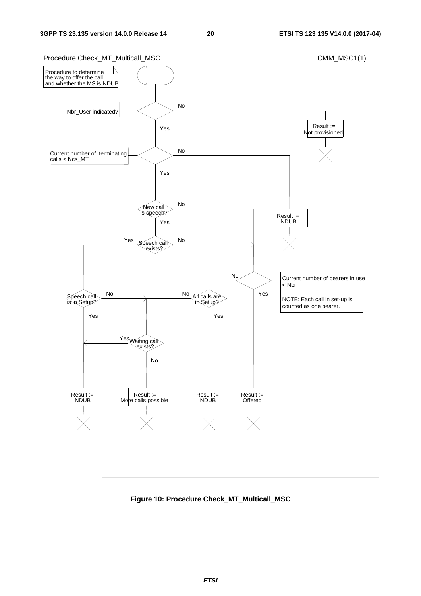

**Figure 10: Procedure Check\_MT\_Multicall\_MSC**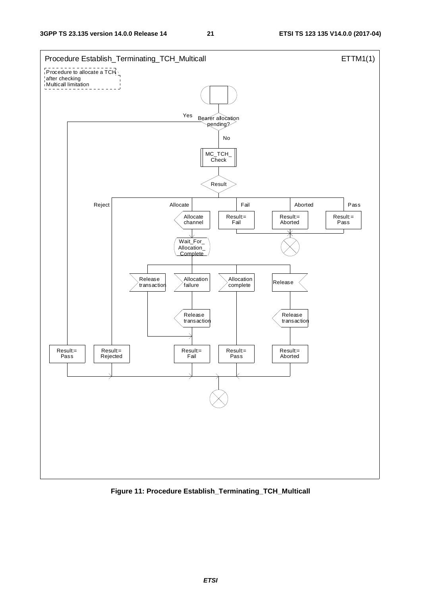

**Figure 11: Procedure Establish\_Terminating\_TCH\_Multicall**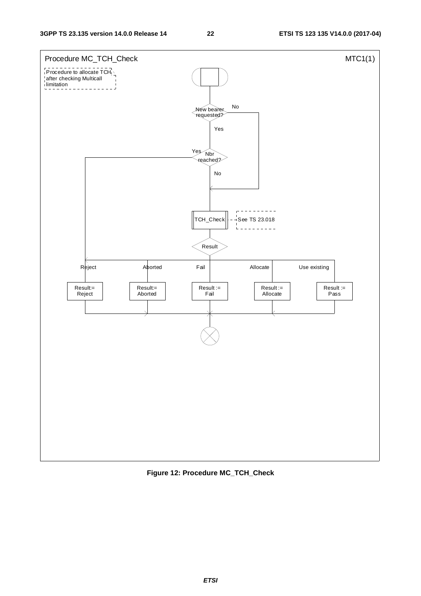

**Figure 12: Procedure MC\_TCH\_Check**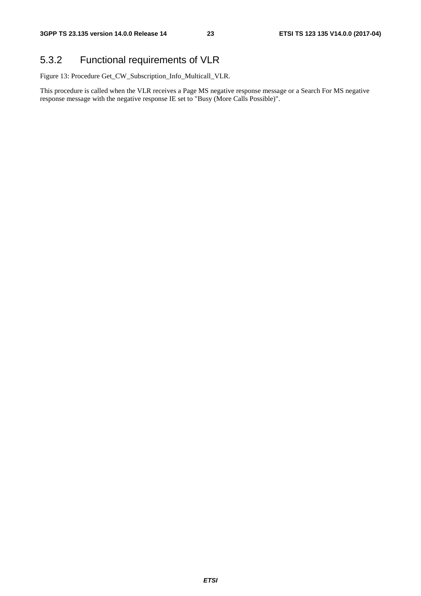## <span id="page-23-0"></span>5.3.2 Functional requirements of VLR

Figure 13: Procedure Get\_CW\_Subscription\_Info\_Multicall\_VLR.

This procedure is called when the VLR receives a Page MS negative response message or a Search For MS negative response message with the negative response IE set to "Busy (More Calls Possible)".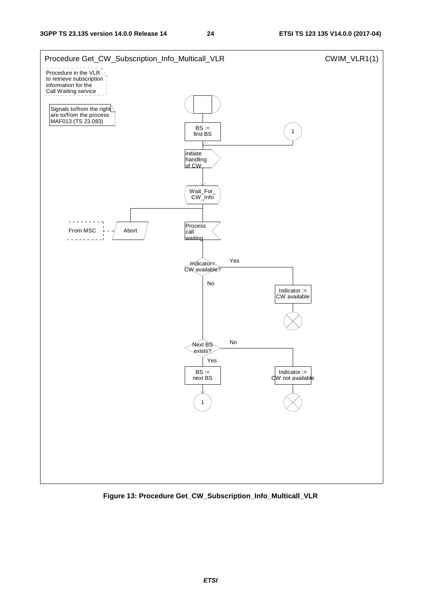

**Figure 13: Procedure Get\_CW\_Subscription\_Info\_Multicall\_VLR**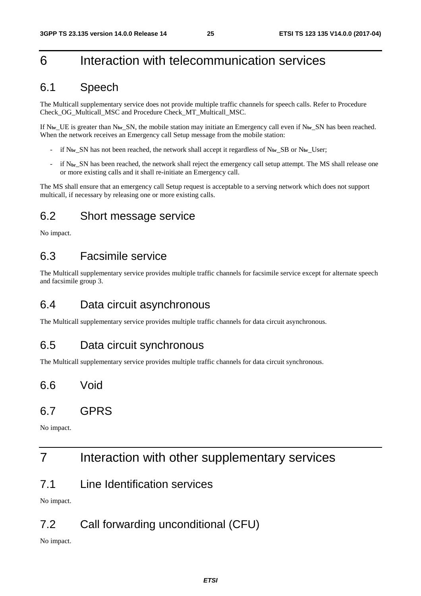## <span id="page-25-0"></span>6 Interaction with telecommunication services

## 6.1 Speech

The Multicall supplementary service does not provide multiple traffic channels for speech calls. Refer to Procedure Check\_OG\_Multicall\_MSC and Procedure Check\_MT\_Multicall\_MSC.

If  $N_{\rm br}$  UE is greater than  $N_{\rm br}$  SN, the mobile station may initiate an Emergency call even if  $N_{\rm br}$  SN has been reached. When the network receives an Emergency call Setup message from the mobile station:

- if N**br**\_SN has not been reached, the network shall accept it regardless of N**br**\_SB or N**br**\_User;
- if N<sub>br</sub> SN has been reached, the network shall reject the emergency call setup attempt. The MS shall release one or more existing calls and it shall re-initiate an Emergency call.

The MS shall ensure that an emergency call Setup request is acceptable to a serving network which does not support multicall, if necessary by releasing one or more existing calls.

## 6.2 Short message service

No impact.

## 6.3 Facsimile service

The Multicall supplementary service provides multiple traffic channels for facsimile service except for alternate speech and facsimile group 3.

## 6.4 Data circuit asynchronous

The Multicall supplementary service provides multiple traffic channels for data circuit asynchronous.

## 6.5 Data circuit synchronous

The Multicall supplementary service provides multiple traffic channels for data circuit synchronous.

6.6 Void

## 6.7 GPRS

No impact.

## 7 Interaction with other supplementary services

7.1 Line Identification services

No impact.

## 7.2 Call forwarding unconditional (CFU)

No impact.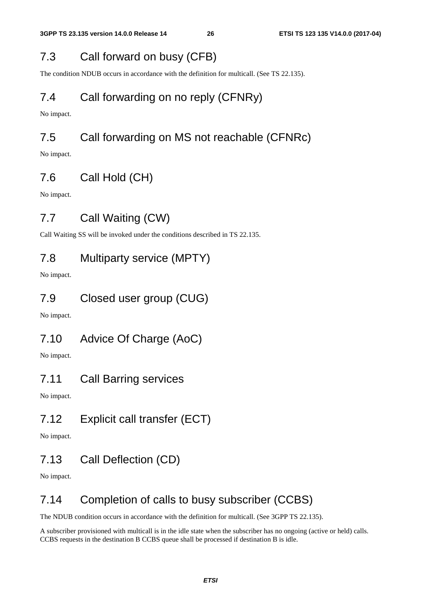## <span id="page-26-0"></span>7.3 Call forward on busy (CFB)

The condition NDUB occurs in accordance with the definition for multicall. (See TS 22.135).

## 7.4 Call forwarding on no reply (CFNRy)

No impact.

## 7.5 Call forwarding on MS not reachable (CFNRc)

No impact.

## 7.6 Call Hold (CH)

No impact.

## 7.7 Call Waiting (CW)

Call Waiting SS will be invoked under the conditions described in TS 22.135.

## 7.8 Multiparty service (MPTY)

No impact.

## 7.9 Closed user group (CUG)

No impact.

## 7.10 Advice Of Charge (AoC)

No impact.

## 7.11 Call Barring services

No impact.

## 7.12 Explicit call transfer (ECT)

No impact.

## 7.13 Call Deflection (CD)

No impact.

## 7.14 Completion of calls to busy subscriber (CCBS)

The NDUB condition occurs in accordance with the definition for multicall. (See 3GPP TS 22.135).

A subscriber provisioned with multicall is in the idle state when the subscriber has no ongoing (active or held) calls. CCBS requests in the destination B CCBS queue shall be processed if destination B is idle.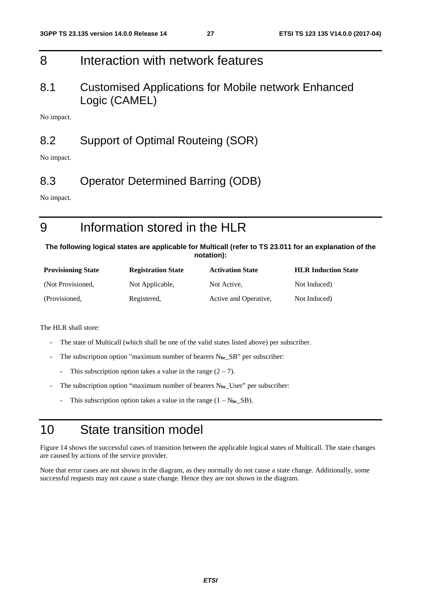## <span id="page-27-0"></span>8 Interaction with network features

8.1 Customised Applications for Mobile network Enhanced Logic (CAMEL)

No impact.

## 8.2 Support of Optimal Routeing (SOR)

No impact.

## 8.3 Operator Determined Barring (ODB)

No impact.

# 9 Information stored in the HLR

**The following logical states are applicable for Multicall (refer to TS 23.011 for an explanation of the notation):** 

| <b>Provisioning State</b> | <b>Registration State</b> | <b>Activation State</b> | <b>HLR Induction State</b> |
|---------------------------|---------------------------|-------------------------|----------------------------|
| (Not Provisioned,         | Not Applicable,           | Not Active.             | Not Induced)               |
| (Provisioned,             | Registered,               | Active and Operative,   | Not Induced)               |

The HLR shall store:

- The state of Multicall (which shall be one of the valid states listed above) per subscriber.
- The subscription option "maximum number of bearers N<sub>br</sub>\_SB" per subscriber:
	- This subscription option takes a value in the range  $(2 7)$ .
- The subscription option "maximum number of bearers N<sub>br</sub> User" per subscriber:
	- This subscription option takes a value in the range (1 N**br**\_SB).

## 10 State transition model

Figure 14 shows the successful cases of transition between the applicable logical states of Multicall. The state changes are caused by actions of the service provider.

Note that error cases are not shown in the diagram, as they normally do not cause a state change. Additionally, some successful requests may not cause a state change. Hence they are not shown in the diagram.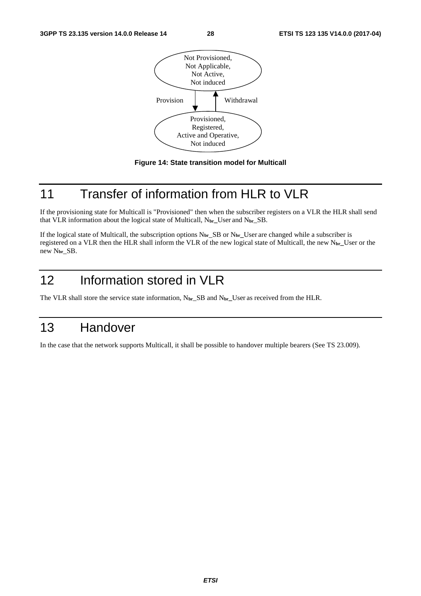<span id="page-28-0"></span>



## 11 Transfer of information from HLR to VLR

If the provisioning state for Multicall is "Provisioned" then when the subscriber registers on a VLR the HLR shall send that VLR information about the logical state of Multicall, N**br\_**User and N**br**\_SB.

If the logical state of Multicall, the subscription options N**br**\_SB or N**br\_**User are changed while a subscriber is registered on a VLR then the HLR shall inform the VLR of the new logical state of Multicall, the new N**br\_**User or the new N**br**\_SB.

# 12 Information stored in VLR

The VLR shall store the service state information, N**br**\_SB and N**br\_**User as received from the HLR.

## 13 Handover

In the case that the network supports Multicall, it shall be possible to handover multiple bearers (See TS 23.009).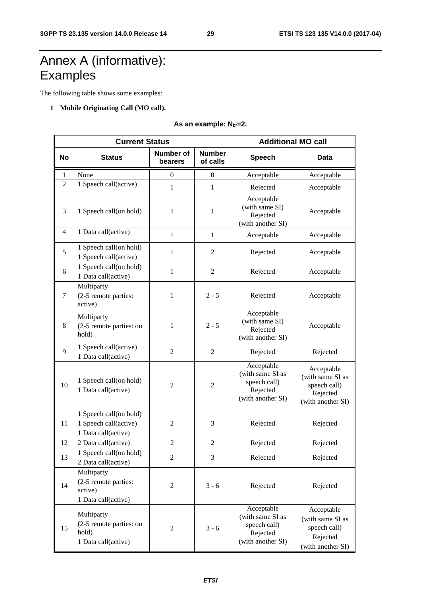# <span id="page-29-0"></span>Annex A (informative): **Examples**

The following table shows some examples:

#### **1 Mobile Originating Call (MO call).**

**As an example: N**br**=2.** 

|           | <b>Current Status</b>                                                  | <b>Additional MO call</b>   |                           |                                                                                 |                                                                                 |
|-----------|------------------------------------------------------------------------|-----------------------------|---------------------------|---------------------------------------------------------------------------------|---------------------------------------------------------------------------------|
| <b>No</b> | <b>Status</b>                                                          | <b>Number of</b><br>bearers | <b>Number</b><br>of calls | <b>Speech</b>                                                                   | <b>Data</b>                                                                     |
| 1         | None                                                                   | $\boldsymbol{0}$            | $\overline{0}$            | Acceptable                                                                      | Acceptable                                                                      |
| 2         | 1 Speech call(active)                                                  | $\mathbf{1}$                | $\mathbf{1}$              | Rejected                                                                        | Acceptable                                                                      |
| 3         | 1 Speech call(on hold)                                                 | 1                           | $\mathbf{1}$              | Acceptable<br>(with same SI)<br>Rejected<br>(with another SI)                   | Acceptable                                                                      |
| 4         | 1 Data call(active)                                                    | $\mathbf{1}$                | $\mathbf{1}$              | Acceptable                                                                      | Acceptable                                                                      |
| 5         | 1 Speech call(on hold)<br>1 Speech call(active)                        | 1                           | 2                         | Rejected                                                                        | Acceptable                                                                      |
| 6         | 1 Speech call(on hold)<br>1 Data call(active)                          | $\mathbf{1}$                | 2                         | Rejected                                                                        | Acceptable                                                                      |
| 7         | Multiparty<br>(2-5 remote parties:<br>active)                          | 1                           | $2 - 5$                   | Rejected                                                                        | Acceptable                                                                      |
| 8         | Multiparty<br>(2-5 remote parties: on<br>hold)                         | 1                           | $2 - 5$                   | Acceptable<br>(with same SI)<br>Rejected<br>(with another SI)                   | Acceptable                                                                      |
| 9         | 1 Speech call(active)<br>1 Data call(active)                           | $\overline{2}$              | $\overline{2}$            | Rejected                                                                        | Rejected                                                                        |
| 10        | 1 Speech call(on hold)<br>1 Data call(active)                          | $\overline{2}$              | $\overline{2}$            | Acceptable<br>(with same SI as<br>speech call)<br>Rejected<br>(with another SI) | Acceptable<br>(with same SI as<br>speech call)<br>Rejected<br>(with another SI) |
| 11        | 1 Speech call(on hold)<br>1 Speech call(active)<br>1 Data call(active) | $\overline{2}$              | 3                         | Rejected                                                                        | Rejected                                                                        |
| 12        | 2 Data call(active)                                                    | $\overline{2}$              | $\overline{2}$            | Rejected                                                                        | Rejected                                                                        |
| 13        | 1 Speech call(on hold)<br>2 Data call(active)                          | $\overline{2}$              | 3                         | Rejected                                                                        | Rejected                                                                        |
| 14        | Multiparty<br>(2-5 remote parties:<br>active)<br>1 Data call(active)   | $\sqrt{2}$                  | $3 - 6$                   | Rejected                                                                        | Rejected                                                                        |
| 15        | Multiparty<br>(2-5 remote parties: on<br>hold)<br>1 Data call(active)  | $\overline{2}$              | $3 - 6$                   | Acceptable<br>(with same SI as<br>speech call)<br>Rejected<br>(with another SI) | Acceptable<br>(with same SI as<br>speech call)<br>Rejected<br>(with another SI) |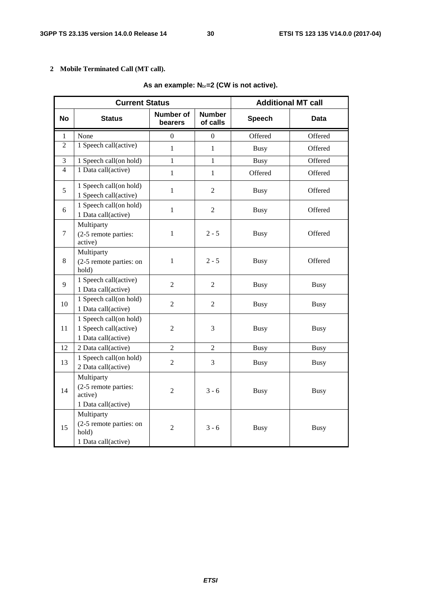#### **2 Mobile Terminated Call (MT call).**

| <b>Current Status</b>    |                                                                        |                      |                           | <b>Additional MT call</b> |             |  |
|--------------------------|------------------------------------------------------------------------|----------------------|---------------------------|---------------------------|-------------|--|
| <b>No</b>                | <b>Status</b>                                                          | Number of<br>bearers | <b>Number</b><br>of calls | <b>Speech</b>             | Data        |  |
| 1                        | None                                                                   | $\theta$             | $\Omega$                  | Offered                   | Offered     |  |
| 2                        | 1 Speech call(active)                                                  | $\mathbf{1}$         | $\mathbf{1}$              | <b>Busy</b>               | Offered     |  |
| 3                        | 1 Speech call(on hold)                                                 | 1                    | $\mathbf{1}$              | <b>Busy</b>               | Offered     |  |
| $\overline{\mathcal{L}}$ | 1 Data call(active)                                                    | $\mathbf{1}$         | $\mathbf{1}$              | Offered                   | Offered     |  |
| 5                        | 1 Speech call(on hold)<br>1 Speech call(active)                        | $\mathbf{1}$         | $\overline{2}$            | <b>Busy</b>               | Offered     |  |
| 6                        | 1 Speech call(on hold)<br>1 Data call(active)                          | $\mathbf{1}$         | $\overline{2}$            | <b>Busy</b>               | Offered     |  |
| 7                        | Multiparty<br>(2-5 remote parties:<br>active)                          | $\mathbf{1}$         | $2 - 5$                   | <b>Busy</b>               | Offered     |  |
| 8                        | Multiparty<br>(2-5 remote parties: on<br>hold)                         | $\mathbf{1}$         | $2 - 5$                   | <b>Busy</b>               | Offered     |  |
| 9                        | 1 Speech call(active)<br>1 Data call(active)                           | $\overline{2}$       | $\overline{2}$            | <b>Busy</b>               | <b>Busy</b> |  |
| 10                       | 1 Speech call(on hold)<br>1 Data call(active)                          | $\overline{2}$       | $\overline{2}$            | <b>Busy</b>               | <b>Busy</b> |  |
| 11                       | 1 Speech call(on hold)<br>1 Speech call(active)<br>1 Data call(active) | $\overline{2}$       | 3                         | <b>Busy</b>               | <b>Busy</b> |  |
| 12                       | 2 Data call(active)                                                    | $\overline{2}$       | $\overline{2}$            | <b>Busy</b>               | <b>Busy</b> |  |
| 13                       | 1 Speech call(on hold)<br>2 Data call(active)                          | $\overline{2}$       | 3                         | <b>Busy</b>               | <b>Busy</b> |  |
| 14                       | Multiparty<br>(2-5 remote parties:<br>active)<br>1 Data call(active)   | $\overline{2}$       | $3 - 6$                   | <b>Busy</b>               | <b>Busy</b> |  |
| 15                       | Multiparty<br>(2-5 remote parties: on<br>hold)<br>1 Data call(active)  | $\overline{2}$       | $3 - 6$                   | <b>Busy</b>               | <b>Busy</b> |  |

#### As an example: N<sub>br</sub>=2 (CW is not active).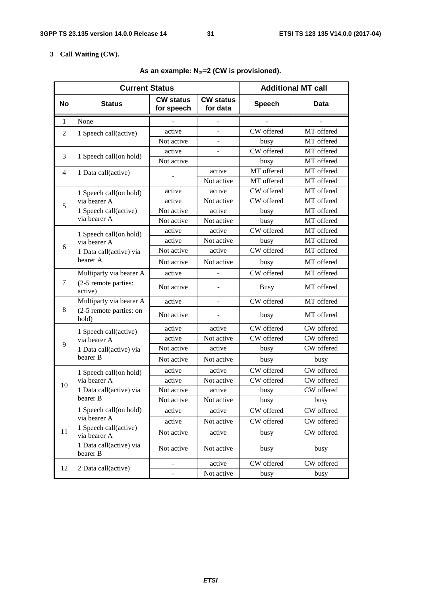#### **3 Call Waiting (CW).**

|        | <b>Current Status</b>                 | <b>Additional MT call</b>      |                              |               |            |
|--------|---------------------------------------|--------------------------------|------------------------------|---------------|------------|
| No     | <b>Status</b>                         | <b>CW status</b><br>for speech | <b>CW status</b><br>for data | <b>Speech</b> | Data       |
| 1      | None                                  |                                |                              |               |            |
| 2      | 1 Speech call(active)                 | active                         | $\overline{\phantom{0}}$     | CW offered    | MT offered |
|        |                                       | Not active                     | $\overline{a}$               | busy          | MT offered |
| 3      | 1 Speech call(on hold)                | active                         |                              | CW offered    | MT offered |
|        |                                       | Not active                     |                              | busy          | MT offered |
| 4      | 1 Data call(active)                   |                                | active                       | MT offered    | MT offered |
|        |                                       |                                | Not active                   | MT offered    | MT offered |
|        | 1 Speech call(on hold)                | active                         | active                       | CW offered    | MT offered |
| 5      | via bearer A                          | active                         | Not active                   | CW offered    | MT offered |
|        | 1 Speech call(active)                 | Not active                     | active                       | busy          | MT offered |
|        | via bearer A                          | Not active                     | Not active                   | busy          | MT offered |
|        | 1 Speech call(on hold)                | active                         | active                       | CW offered    | MT offered |
|        | via bearer A                          | active                         | Not active                   | busy          | MT offered |
| 6      | 1 Data call(active) via               | Not active                     | active                       | CW offered    | MT offered |
|        | bearer A                              | Not active                     | Not active                   | busy          | MT offered |
|        | Multiparty via bearer A               | active                         |                              | CW offered    | MT offered |
| $\tau$ | (2-5 remote parties:<br>active)       | Not active                     |                              | <b>Busy</b>   | MT offered |
|        | Multiparty via bearer A               | active                         |                              | CW offered    | MT offered |
| 8      | (2-5 remote parties: on<br>hold)      | Not active                     |                              | busy          | MT offered |
|        | 1 Speech call(active)                 | active                         | active                       | CW offered    | CW offered |
| 9      | via bearer A                          | active                         | Not active                   | CW offered    | CW offered |
|        | 1 Data call(active) via               | Not active                     | active                       | busy          | CW offered |
|        | bearer B                              | Not active                     | Not active                   | busy          | busy       |
|        | 1 Speech call(on hold)                | active                         | active                       | CW offered    | CW offered |
| 10     | via bearer A                          | active                         | Not active                   | CW offered    | CW offered |
|        | 1 Data call(active) via               | Not active                     | active                       | busy          | CW offered |
|        | bearer B                              | Not active                     | Not active                   | busy          | busy       |
|        | 1 Speech call(on hold)                | active                         | active                       | CW offered    | CW offered |
|        | via bearer A                          | active                         | Not active                   | CW offered    | CW offered |
| 11     | 1 Speech call(active)<br>via bearer A | Not active                     | active                       | busy          | CW offered |
|        | 1 Data call(active) via<br>bearer B   | Not active                     | Not active                   | busy          | busy       |
|        |                                       | -                              | active                       | CW offered    | CW offered |
| 12     | 2 Data call(active)                   |                                | Not active                   | busy          | busy       |

#### **As an example: N**br**=2 (CW is provisioned).**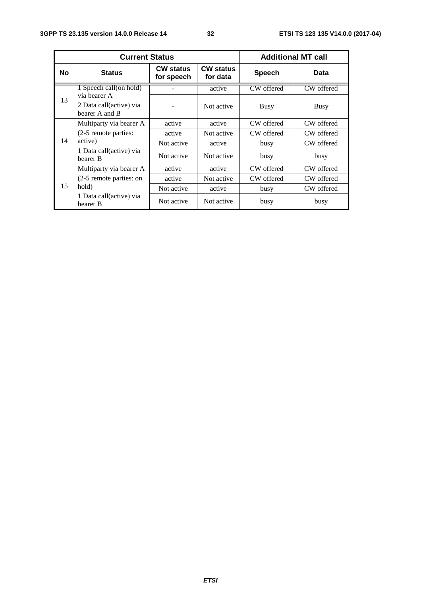|           | <b>Current Status</b>                                     | <b>Additional MT call</b>      |                              |               |             |
|-----------|-----------------------------------------------------------|--------------------------------|------------------------------|---------------|-------------|
| <b>No</b> | <b>Status</b>                                             | <b>CW status</b><br>for speech | <b>CW status</b><br>for data | <b>Speech</b> | Data        |
| 13        | 1 Speech call(on hold)                                    |                                | active                       | CW offered    | CW offered  |
|           | via bearer A<br>2 Data call(active) via<br>bearer A and B |                                | Not active                   | <b>Busy</b>   | <b>Busy</b> |
| 14        | Multiparty via bearer A                                   | active                         | active                       | CW offered    | CW offered  |
|           | (2-5 remote parties:                                      | active                         | Not active                   | CW offered    | CW offered  |
|           | active)                                                   | Not active                     | active                       | busy          | CW offered  |
|           | 1 Data call(active) via<br>bearer B                       | Not active                     | Not active                   | busy          | busy        |
| 15        | Multiparty via bearer A                                   | active                         | active                       | CW offered    | CW offered  |
|           | (2-5 remote parties: on                                   | active                         | Not active                   | CW offered    | CW offered  |
|           | hold)                                                     | Not active                     | active                       | busy          | CW offered  |
|           | 1 Data call(active) via<br>bearer B                       | Not active                     | Not active                   | busy          | busy        |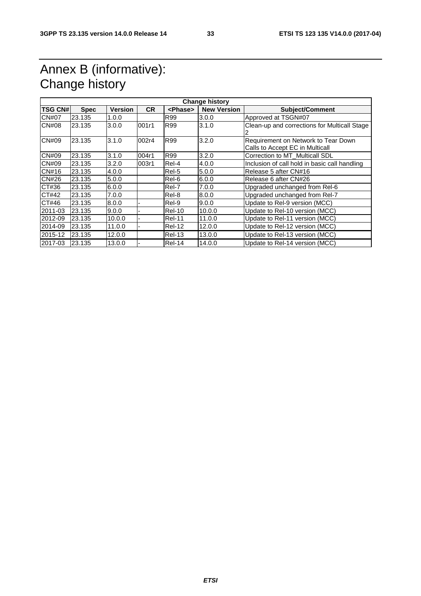## <span id="page-33-0"></span>Annex B (informative): Change history

| <b>TSG CN#</b> | <b>Spec</b> | <b>Version</b> | <b>CR</b> | <phase></phase> | <b>Change history</b><br><b>New Version</b> | <b>Subject/Comment</b>                                                 |
|----------------|-------------|----------------|-----------|-----------------|---------------------------------------------|------------------------------------------------------------------------|
| <b>CN#07</b>   | 23.135      | 1.0.0          |           | R99             | 3.0.0                                       | Approved at TSGN#07                                                    |
| CN#08          | 23.135      | 3.0.0          | 001r1     | R99             | 3.1.0                                       | Clean-up and corrections for Multicall Stage                           |
| CN#09          | 23.135      | 3.1.0          | 002r4     | R99             | 3.2.0                                       | Requirement on Network to Tear Down<br>Calls to Accept EC in Multicall |
| CN#09          | 23.135      | 3.1.0          | 004r1     | R99             | 3.2.0                                       | Correction to MT Multicall SDL                                         |
| CN#09          | 23.135      | 3.2.0          | 003r1     | Rel-4           | 4.0.0                                       | Inclusion of call hold in basic call handling                          |
| CN#16          | 23.135      | 4.0.0          |           | Rel-5           | 5.0.0                                       | Release 5 after CN#16                                                  |
| CN#26          | 23.135      | 5.0.0          |           | Rel-6           | 6.0.0                                       | Release 6 after CN#26                                                  |
| CT#36          | 23.135      | 6.0.0          |           | Rel-7           | 7.0.0                                       | Upgraded unchanged from Rel-6                                          |
| CT#42          | 23.135      | 7.0.0          |           | Rel-8           | 8.0.0                                       | Upgraded unchanged from Rel-7                                          |
| CT#46          | 23.135      | 8.0.0          |           | Rel-9           | 9.0.0                                       | Update to Rel-9 version (MCC)                                          |
| 2011-03        | 23.135      | 9.0.0          |           | <b>Rel-10</b>   | 10.0.0                                      | Update to Rel-10 version (MCC)                                         |
| 2012-09        | 23.135      | 10.0.0         | ٠         | <b>Rel-11</b>   | 11.0.0                                      | Update to Rel-11 version (MCC)                                         |
| 2014-09        | 23.135      | 11.0.0         |           | <b>Rel-12</b>   | 12.0.0                                      | Update to Rel-12 version (MCC)                                         |
| 2015-12        | 23.135      | 12.0.0         |           | <b>Rel-13</b>   | 13.0.0                                      | Update to Rel-13 version (MCC)                                         |
| 2017-03        | 23.135      | 13.0.0         |           | <b>Rel-14</b>   | 14.0.0                                      | Update to Rel-14 version (MCC)                                         |